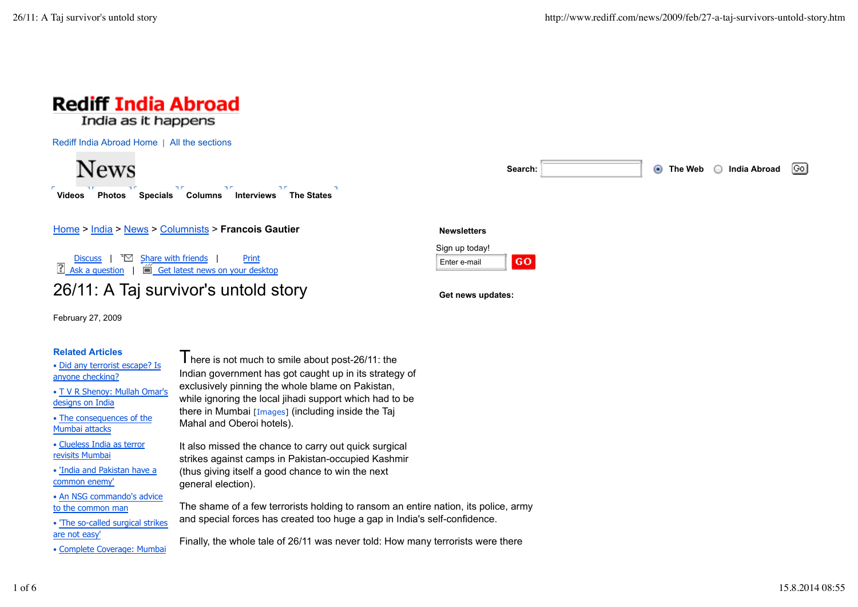



Home > India > News > Columnists > **Francois Gautier**

Discuss  $\begin{bmatrix} \overline{\bullet} \ \end{bmatrix}$  Share with friends  $\begin{bmatrix} \overline{\bullet} \end{bmatrix}$  Print  $\Box$  Ask a question  $\parallel \Box$  Get latest news on your desktop

## 26/11: A Taj survivor's untold story

February 27, 2009

## **Related Articles**

• Did any terrorist escape? Is anyone checking?

• T V R Shenoy: Mullah Omar's designs on India

• The consequences of the Mumbai attacks

• Clueless India as terror revisits Mumbai

• 'India and Pakistan have a common enemy'

• An NSG commando's advice to the common man

• 'The so-called surgical strikes are not easy'

• Complete Coverage: Mumbai

 $\blacksquare$  here is not much to smile about post-26/11: the Indian government has got caught up in its strategy of exclusively pinning the whole blame on Pakistan, while ignoring the local jihadi support which had to be there in Mumbai [Images] (including inside the Taj Mahal and Oberoi hotels).

It also missed the chance to carry out quick surgical strikes against camps in Pakistan-occupied Kashmir (thus giving itself a good chance to win the next general election).

The shame of a few terrorists holding to ransom an entire nation, its police, army and special forces has created too huge a gap in India's self-confidence.

**Newsletters** Sign up today! Enter e-mail

**Get news updates:**

GO.

Finally, the whole tale of 26/11 was never told: How many terrorists were there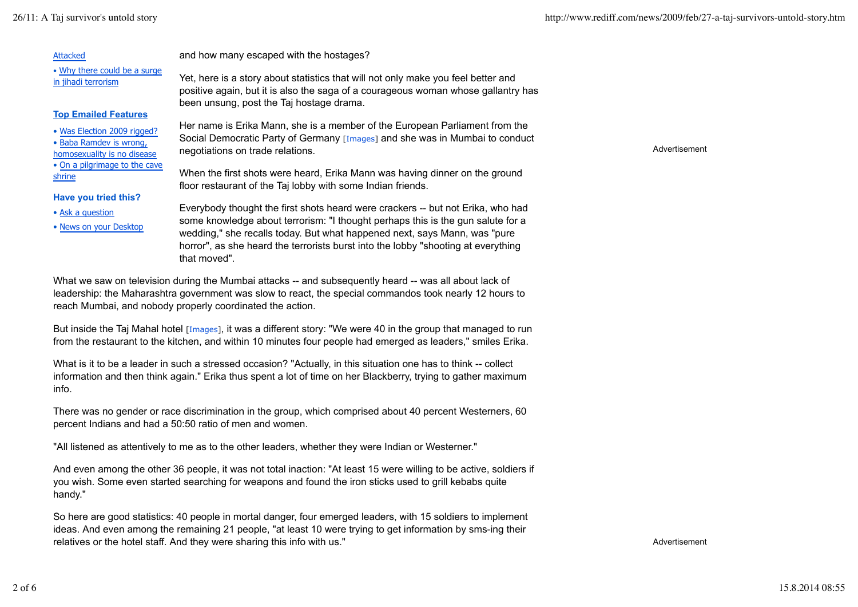| Attacked                                                                                            | and how many escaped with the hostages?                                                                                                                                                                            |               |
|-----------------------------------------------------------------------------------------------------|--------------------------------------------------------------------------------------------------------------------------------------------------------------------------------------------------------------------|---------------|
| . Why there could be a surge<br>in jihadi terrorism                                                 | Yet, here is a story about statistics that will not only make you feel better and<br>positive again, but it is also the saga of a courageous woman whose gallantry has<br>been unsung, post the Taj hostage drama. |               |
| <b>Top Emailed Features</b>                                                                         |                                                                                                                                                                                                                    |               |
| • Was Election 2009 rigged?                                                                         | Her name is Erika Mann, she is a member of the European Parliament from the                                                                                                                                        |               |
| • Baba Ramdev is wrong,<br>homosexuality is no disease                                              | Social Democratic Party of Germany [Images] and she was in Mumbai to conduct<br>negotiations on trade relations.                                                                                                   | Advertisement |
| . On a pilgrimage to the cave<br>shrine                                                             | When the first shots were heard, Erika Mann was having dinner on the ground<br>floor restaurant of the Taj lobby with some Indian friends.                                                                         |               |
| Have you tried this?                                                                                |                                                                                                                                                                                                                    |               |
| • Ask a question                                                                                    | Everybody thought the first shots heard were crackers -- but not Erika, who had                                                                                                                                    |               |
| • News on your Desktop                                                                              | some knowledge about terrorism: "I thought perhaps this is the gun salute for a                                                                                                                                    |               |
|                                                                                                     | wedding," she recalls today. But what happened next, says Mann, was "pure"                                                                                                                                         |               |
|                                                                                                     | horror", as she heard the terrorists burst into the lobby "shooting at everything<br>that moved".                                                                                                                  |               |
| the was a world was during the Mumber offering and our contract who and weapon the way that the set |                                                                                                                                                                                                                    |               |

What we saw on television during the Mumbai attacks -- and subsequently heard -- was all about lack of leadership: the Maharashtra government was slow to react, the special commandos took nearly 12 hours to reach Mumbai, and nobody properly coordinated the action.

But inside the Taj Mahal hotel [Images], it was a different story: "We were 40 in the group that managed to run from the restaurant to the kitchen, and within 10 minutes four people had emerged as leaders," smiles Erika.

What is it to be a leader in such a stressed occasion? "Actually, in this situation one has to think -- collect information and then think again." Erika thus spent a lot of time on her Blackberry, trying to gather maximum info.

There was no gender or race discrimination in the group, which comprised about 40 percent Westerners, 60 percent Indians and had a 50:50 ratio of men and women.

"All listened as attentively to me as to the other leaders, whether they were Indian or Westerner."

And even among the other 36 people, it was not total inaction: "At least 15 were willing to be active, soldiers if you wish. Some even started searching for weapons and found the iron sticks used to grill kebabs quite handy."

So here are good statistics: 40 people in mortal danger, four emerged leaders, with 15 soldiers to implement ideas. And even among the remaining 21 people, "at least 10 were trying to get information by sms-ing their relatives or the hotel staff. And they were sharing this info with us."

Advertisement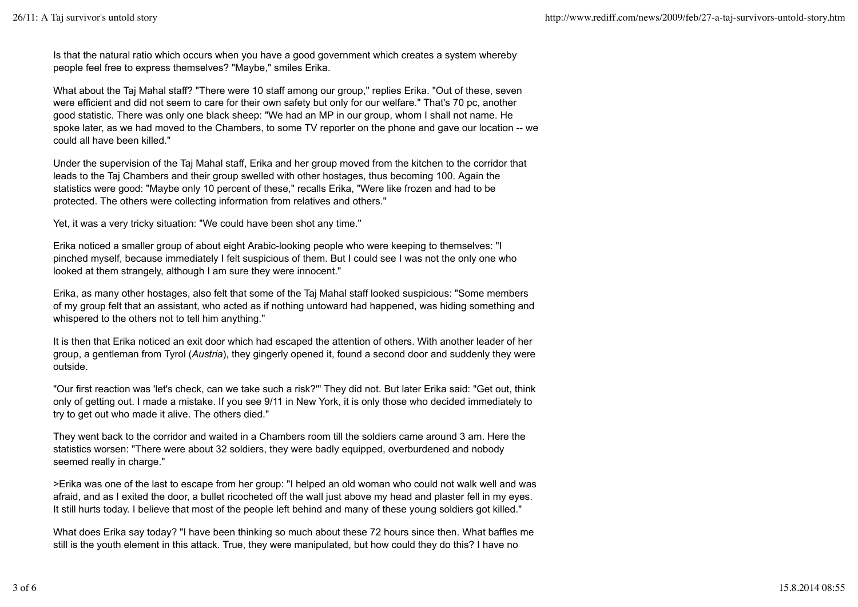Is that the natural ratio which occurs when you have a good government which creates a system whereby people feel free to express themselves? "Maybe," smiles Erika.

What about the Taj Mahal staff? "There were 10 staff among our group," replies Erika. "Out of these, seven were efficient and did not seem to care for their own safety but only for our welfare." That's 70 pc, another good statistic. There was only one black sheep: "We had an MP in our group, whom I shall not name. He spoke later, as we had moved to the Chambers, to some TV reporter on the phone and gave our location -- we could all have been killed."

Under the supervision of the Taj Mahal staff, Erika and her group moved from the kitchen to the corridor that leads to the Taj Chambers and their group swelled with other hostages, thus becoming 100. Again the statistics were good: "Maybe only 10 percent of these," recalls Erika, "Were like frozen and had to be protected. The others were collecting information from relatives and others."

Yet, it was a very tricky situation: "We could have been shot any time."

Erika noticed a smaller group of about eight Arabic-looking people who were keeping to themselves: "I pinched myself, because immediately I felt suspicious of them. But I could see I was not the only one who looked at them strangely, although I am sure they were innocent."

Erika, as many other hostages, also felt that some of the Taj Mahal staff looked suspicious: "Some members of my group felt that an assistant, who acted as if nothing untoward had happened, was hiding something and whispered to the others not to tell him anything."

It is then that Erika noticed an exit door which had escaped the attention of others. With another leader of her group, a gentleman from Tyrol (*Austria*), they gingerly opened it, found a second door and suddenly they were outside.

"Our first reaction was 'let's check, can we take such a risk?'" They did not. But later Erika said: "Get out, think only of getting out. I made a mistake. If you see 9/11 in New York, it is only those who decided immediately to try to get out who made it alive. The others died."

They went back to the corridor and waited in a Chambers room till the soldiers came around 3 am. Here the statistics worsen: "There were about 32 soldiers, they were badly equipped, overburdened and nobody seemed really in charge."

>Erika was one of the last to escape from her group: "I helped an old woman who could not walk well and was afraid, and as I exited the door, a bullet ricocheted off the wall just above my head and plaster fell in my eyes. It still hurts today. I believe that most of the people left behind and many of these young soldiers got killed."

What does Erika say today? "I have been thinking so much about these 72 hours since then. What baffles me still is the youth element in this attack. True, they were manipulated, but how could they do this? I have no